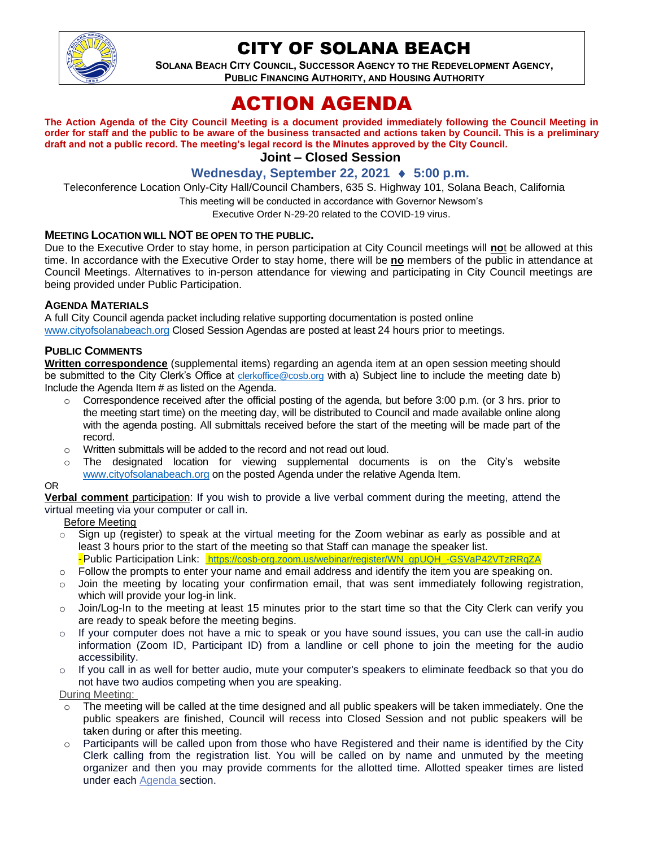

## CITY OF SOLANA BEACH

**SOLANA BEACH CITY COUNCIL, SUCCESSOR AGENCY TO THE REDEVELOPMENT AGENCY, PUBLIC FINANCING AUTHORITY, AND HOUSING AUTHORITY**

# ACTION AGENDA

**The Action Agenda of the City Council Meeting is a document provided immediately following the Council Meeting in order for staff and the public to be aware of the business transacted and actions taken by Council. This is a preliminary draft and not a public record. The meeting's legal record is the Minutes approved by the City Council.**

## **Joint – Closed Session**

## **Wednesday, September 22, 2021 5:00 p.m.**

Teleconference Location Only-City Hall/Council Chambers, 635 S. Highway 101, Solana Beach, California

This meeting will be conducted in accordance with Governor Newsom's

Executive Order N-29-20 related to the COVID-19 virus.

#### **MEETING LOCATION WILL NOT BE OPEN TO THE PUBLIC.**

Due to the Executive Order to stay home, in person participation at City Council meetings will **no**t be allowed at this time. In accordance with the Executive Order to stay home, there will be **no** members of the public in attendance at Council Meetings. Alternatives to in-person attendance for viewing and participating in City Council meetings are being provided under Public Participation.

#### **AGENDA MATERIALS**

A full City Council agenda packet including relative supporting documentation is posted online [www.cityofsolanabeach.org](https://urldefense.proofpoint.com/v2/url?u=http-3A__www.cityofsolanabeach.org&d=DwQFAg&c=euGZstcaTDllvimEN8b7jXrwqOf-v5A_CdpgnVfiiMM&r=1XAsCUuqwK_tji2t0s1uIQ&m=wny2RVfZJ2tN24LkqZmkUWNpwL_peNtTZUBlTBZiMM4&s=6ATguqxJUOD7VVtloplAbyuyNaVcEh6Fl4q1iw55lCY&e=) Closed Session Agendas are posted at least 24 hours prior to meetings.

#### **PUBLIC COMMENTS**

**Written correspondence** (supplemental items) regarding an agenda item at an open session meeting should be submitted to the City Clerk's Office at [clerkoffice@cosb.org](mailto:clerkoffice@cosb.org) with a) Subject line to include the meeting date b) Include the Agenda Item # as listed on the Agenda.

- $\circ$  Correspondence received after the official posting of the agenda, but before 3:00 p.m. (or 3 hrs. prior to the meeting start time) on the meeting day, will be distributed to Council and made available online along with the agenda posting. All submittals received before the start of the meeting will be made part of the record.
- o Written submittals will be added to the record and not read out loud.
- $\circ$  The designated location for viewing supplemental documents is on the City's website [www.cityofsolanabeach.org](http://www.cityofsolanabeach.org/) on the posted Agenda under the relative Agenda Item.

#### OR

**Verbal comment** participation: If you wish to provide a live verbal comment during the meeting, attend the virtual meeting via your computer or call in.

Before Meeting

- $\circ$  Sign up (register) to speak at the virtual meeting for the Zoom webinar as early as possible and at least 3 hours prior to the start of the meeting so that Staff can manage the speaker list. -Public Participation Link: [https://cosb-org.zoom.us/webinar/register/WN\\_gpUQH\\_-GSVaP42VTzRRqZA](https://cosb-org.zoom.us/webinar/register/WN_gpUQH_-GSVaP42VTzRRqZA)
- $\circ$  Follow the prompts to enter your name and email address and identify the item you are speaking on.
- Join the meeting by locating your confirmation email, that was sent immediately following registration, which will provide your log-in link.
- $\circ$  Join/Log-In to the meeting at least 15 minutes prior to the start time so that the City Clerk can verify you are ready to speak before the meeting begins.
- $\circ$  If your computer does not have a mic to speak or you have sound issues, you can use the call-in audio information (Zoom ID, Participant ID) from a landline or cell phone to join the meeting for the audio accessibility.
- o If you call in as well for better audio, mute your computer's speakers to eliminate feedback so that you do not have two audios competing when you are speaking.

During Meeting:

- $\circ$  The meeting will be called at the time designed and all public speakers will be taken immediately. One the public speakers are finished, Council will recess into Closed Session and not public speakers will be taken during or after this meeting.
- o Participants will be called upon from those who have Registered and their name is identified by the City Clerk calling from the registration list. You will be called on by name and unmuted by the meeting organizer and then you may provide comments for the allotted time. Allotted speaker times are listed under each [Agenda s](https://urldefense.proofpoint.com/v2/url?u=https-3A__www.ci.solana-2Dbeach.ca.us_index.asp-3FSEC-3DF0F1200D-2D21C6-2D4A88-2D8AE1-2D0BC07C1A81A7-26Type-3DB-5FBASIC&d=DwMFaQ&c=euGZstcaTDllvimEN8b7jXrwqOf-v5A_CdpgnVfiiMM&r=1XAsCUuqwK_tji2t0s1uIQ&m=C7WzXfOw2_nkEFMJClT55zZsF4tmIf_7KTn0o1WpYqI&s=3DcsWExM2_nx_xpvFtXslUjphiXd0MDCCF18y_Qy5yU&e=)ection.